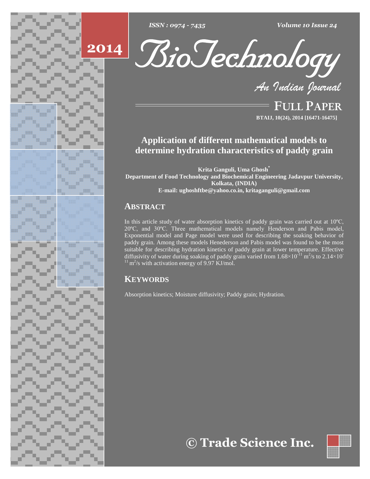





**FULL PAPER BTAIJ, 10(24), 2014 [16471-16475]**

# **Application of different mathematical models to determine hydration characteristics of paddy grain**

**Krita Ganguli, Uma Ghosh Department of Food Technology and Biochemical Engineering Jadavpur University, Kolkata, (INDIA) E-mail: [ughoshftbe@yahoo.co.in,](mailto:ughoshftbe@yahoo.co.in,) [kritaganguli@gmail.com](mailto:kritaganguli@gmail.com)**

## **ABSTRACT**

In this article study of water absorption kinetics of paddy grain was carried out at  $10^{\circ}$ C, <sup>20</sup>ºC, and 30ºC. Three mathematical models namely Henderson and Pabis model, Exponential model and Page model were used for describing the soaking behavior of paddy grain. Among these models Henederson and Pabis model was found to be the most<br>suitable for describing hydration kinetics of paddy grain at lower temperature. Effective<br>diffusivity of water during soaking of paddy gra suitable for describing hydration kinetics of paddy grain at lower temperature. Effective  $e^{-11}$  m<sup>2</sup>/s to 2.14×10<sup>-11</sup>  $^{11}$  m<sup>2</sup>/s with activation energy of 9.97 KJ/mol.

## **KEYWORDS**

Absorption kinetics; Moisture diffusivity; Paddy grain; Hydration.

**Trade Science Inc.**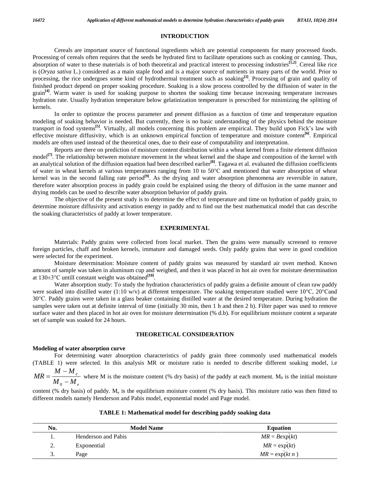### **INTRODUCTION**

Cereals are important source of functional ingredients which are potential components for many processed foods. Processing of cereals often requires that the seeds be hydrated first to facilitate operations such as cooking or canning. Thus, absorption of water to these materials is of both theoretical and practical interest to processing industries **[1,2]**. Cereal like rice is (*Oryza sativa* L.) considered as a main staple food and is a major source of nutrients in many parts of the world. Prior to processing, the rice undergoes some kind of hydrothermal treatment such as soaking<sup>[3]</sup>. Processing of grain and quality of finished product depend on proper soaking procedure. Soaking is a slow process controlled by the diffusion ofwater in the grain<sup>[4]</sup>. Warm water is used for soaking purpose to shorten the soaking time because increasing temperature increases hydration rate. Usually hydration temperature below gelatinization temperature is prescribed for minimizing the splitting of kernels.

In order to optimize the process parameter and present diffusion as a function of time and temperature equation modeling of soaking behavior is needed. But currently, there is no basic understanding of the physics behind the moisture In order to optimize the process parameter and present diffusion as a function of time and temperature equation<br>modeling of soaking behavior is needed. But currently, there is no basic understanding of the physics behind t effective moisture diffusivity, which is an unknown empirical function of temperature and moisture content<sup>[6]</sup>. Empirical models are often used instead of the theoretical ones, due to their ease of computability and interpretation.

Reports are there on prediction of moisture content distribution within a wheat kernel from a finite element diffusion model<sup>[7]</sup>. The relationship between moisture movement in the wheat kernel and the shape and composition of the kernel with an analytical solution of the diffusion equation had been described earlier **[8]**. Tagawa et al. evaluated the diffusion coefficients model<sup>[7]</sup>. The relationship between moisture movement in the wheat kernel and the shape and composition of the kernel with<br>an analytical solution of the diffusion equation had been described earlier<sup>[8]</sup>. Tagawa et al. ev kernel was in the second falling rate period **[9]**. As the drying and water absorption phenomena are reversible in nature, therefore water absorption process in paddy grain could be explained using the theory of diffusion in the same manner and drying models can be used to describe water absorption behavior of paddy grain.

The objective of the present study is to determine the effect of temperature and time on hydration of paddy grain, to determine moisture diffusivity and activation energy in paddy and to find out the best mathematical model that can describe the soaking characteristics of paddy at lower temperature.

#### **EXPERIMENTAL**

Materials: Paddy grains were collected from local market. Then the grains were manually screened to remove foreign particles, chaff and broken kernels, immature and damaged seeds. Only paddy grains that were in good condition were selected for the experiment.

Moisture determination: Moisture content of paddy grains was measured by standard air oven method. Known amount of sample was taken in aluminum cup and weighed, and then it was placed in hot air oven for moisture determination Moisture determination: Moisture content of gamount of sample was taken in aluminum cup and weight at  $130\pm3$ °C untill constant weight was obtained<sup>[10]</sup>.

Water absorption study: To study the hydration characteristics of paddy grains a definite amount of clean raw paddy were soaked into distilled water (1:10 w/v) at different temperature. The soaking temperature studied were <sup>10</sup>°C, <sup>20</sup>°Cand <sup>30</sup>°C. Paddy grains were taken in <sup>a</sup> glass beaker containing distilled water at the desired temperature. During hydration the samples were taken out at definite interval of time (initially 30 min, then 1 h and then 2 h). Filter paper was used to remove surface water and then placed in hot air oven for moisture determination (% d.b). For equilibrium moisture content a separate set of sample was soaked for 24 hours.

#### **THEORETICAL CONSIDERATION**

#### **Modeling of water absorption curve**

For determining water absorption characteristics of paddy grain three commonly used mathematical models (TABLE 1) were selected. In this analysis MR or moisture ratio is needed to describe different soaking model, i.e  $\mathbf{r}$ 

$$
MR = \frac{M - M_e}{M_0 - M_e}
$$
 where M is the moisture content (%) dry basis) of the paddy at each moment. M<sub>0</sub> is the initial moisture

content (% dry basis) of paddy. M<sub>e</sub> is the equilibrium moisture content (% dry basis). This moisture ratio was then fitted to different models namely Henderson and Pabis model, exponential model and Page model.

| No. | <b>Model Name</b>   | <b>Equation</b>   |
|-----|---------------------|-------------------|
| . . | Henderson and Pabis | $MR = B \exp(kt)$ |
| Ź.  | Exponential         | $MR = \exp(kt)$   |
| J.  | Page                | $MR = \exp(kt n)$ |

## **TABLE 1: Mathematical model for describing paddy soaking data**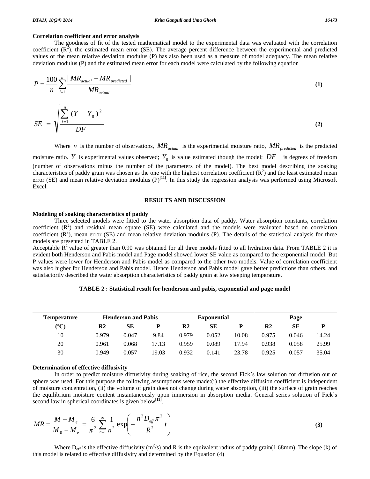#### **Correlation coefficient and error analysis**

The goodness of fit of the tested mathematical model to the experimental data was evaluated with the correlation coefficient  $(R^2)$ , the estimated mean error (SE). The average percent difference between the experimental and predicted values or the mean relative deviation modulus (P) has also been used as a measure of model adequacy. The mean relative<br>deviation modulus (P) and the estimated mean error for each model were calculated by the following equa  $\frac{1}{2}$ 

values of the metal relative deviation modulus (1) has also been used as a measure of modern adequately. The final relative deviation modulus (P) and the estimated mean error for each model were calculated by the following equation\n
$$
P = \frac{100}{n} \sum_{i=1}^{n} \frac{MR_{actual} - MR_{predicted}}{MR_{actual}}
$$
\n(1)\n
$$
SE = \sqrt{\frac{\sum_{i=1}^{n} (Y - Y_0)^2}{DF}}
$$
\n(2)

Where *n* is the number of observations,  $MR_{actual}$  is the experimental moisture ratio,  $MR_{predicted}$  is the predicted moisture ratio. *Y* is experimental values observed;  $Y_0$  is value estimated though the model;  $DF$  is degrees of freedom (number of observations minus the number of the parameters of the model). The best model describing the soaking characteristics of paddy grain was chosen as the one with the highest correlation coefficient  $(R^2)$  and the least estimated mean error (SE) and mean relative deviation modulus  $(P)^{[11]}$ . In this study the regression analysis was performed using Microsoft Excel.

## **RESULTS AND DISCUSSION**

#### **Modeling of soaking characteristics of paddy**

Three selected models were fitted to the water absorption data of paddy. Water absorption constants, correlation coefficient  $(R^2)$  and residual mean square (SE) were calculated and the models were evaluated based on correlation coefficient  $(R^2)$ , mean error (SE) and mean relative deviation modulus (P). The details of the statistical analysis for three models are presented in TABLE 2.

Acceptable  $\mathbb{R}^2$  value of greater than 0.90 was obtained for all three models fitted to all hydration data. From TABLE 2 it is evident both Henderson and Pabis model and Page model showed lower SE value as compared to the exponential model. But P values were lower for Henderson and Pabis model as compared to the other two models. Value of correlation coefficient was also higher for Henderson and Pabis model. Hence Henderson and Pabis model gave better predictions than others, and satisfactorily described the water absorption characteristics of paddy grain at low steeping temperature.

| <b>Temperature</b> | <b>Henderson and Pabis</b> |       | <b>Exponential</b> |                | Page  |       |               |       |       |
|--------------------|----------------------------|-------|--------------------|----------------|-------|-------|---------------|-------|-------|
| ${}^{\circ}C$      | R2                         | SЕ    |                    | R <sub>2</sub> | SЕ    |       | $\mathbf{R}2$ | SЕ    |       |
| 10                 | 0.979                      | 0.047 | 9.84               | 0.979          | 0.052 | 10.08 | 0.975         | 0.046 | 14.24 |
| 20                 | 0.961                      | 0.068 | 17.13              | 0.959          | 0.089 | 17.94 | 0.938         | 0.058 | 25.99 |
| 30                 | 0.949                      | 0.057 | 19.03              | 0.932          | 0.141 | 23.78 | 0.925         | 0.057 | 35.04 |

**TABLE 2 : Statistical result for henderson and pabis, exponential and page model**

#### **Determination of effective diffusivity**

In order to predict moisture diffusivity during soaking of rice, the second Fick's law solution for diffusion out of sphere was used. For this purpose the following assumptions were made:(i) the effective diffusion coefficient is independent of moisture concentration, (ii) the volume of grain does not change during water absorption, (iii) the surface of grain reaches sphere was used. For this purpose the following assumptions were made:(i) the effective diffusion coefficient is independent<br>of moisture concentration, (ii) the volume of grain does not change during water absorption, (iii second law in spherical coordinates is given below **[12]**. the equilibrium moisture content instantaneously upon immersion in absorption media. General series solution of Fick's n  $\overline{a}$ 

the equilibrium moisture content instantaneously upon immersion in absorption media. General series solution of Fick's second law in spherical coordinates is given below<sup>[12]</sup>.  
\n
$$
MR = \frac{M - M_e}{M_0 - M_e} = \frac{6}{\pi^2} \sum_{n=1}^{\infty} \frac{1}{n^2} \exp\left(-\frac{n^2 D_{\text{eff}} \pi^2}{R^2} t\right)
$$
\n(3)

Where  $D_{eff}$  is the effective diffusivity (m<sup>2</sup>/s) and R is the equivalent radius of paddy grain(1.68mm). The slope (k) of this model is related to effective diffusivity and determined by the Equation (4)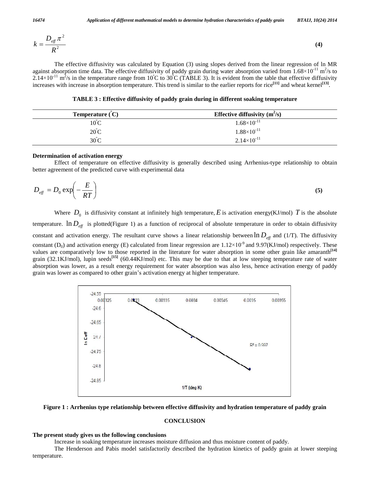$$
k = \frac{D_{\text{eff}} \pi^2}{R^2} \tag{4}
$$

The effective diffusivity was calculated by Equation (3) using slopes derived from the linear regression of ln MR The effective diffusivity was calculated by Equation (3) using slopes derived from the linear regression of ln MR against absorption time data. The effective diffusivity of paddy grain during water absorption varied from The effective diffusivity was calculated by Equation (3) using slopes derived from the linear regression of ln MR against absorption time data. The effective diffusivity of paddy grain during water absorption varied from increases with increase in absorption temperature. This trend is similar to the earlier reports for rice **[11]** and wheat kernel **[13]**.

**TABLE 3 : Effective diffusivity of paddy grain during in different soaking temperature º**

| <b>Temperature</b> $(C)$ | <b>Effective diffusivity</b> $(m^2/s)$ |
|--------------------------|----------------------------------------|
| $10^{\circ}$ C           | $1.68\times10^{-11}$                   |
| $20^{\circ}$ C           | $1.88\times10^{-11}$                   |
| $30^{\circ}$ C           | $2.14\times10^{-11}$                   |

#### **Determination of activation energy**

Effect of temperature on effective diffusivity is generally described using Arrhenius-type relationship to obtain

better agreement of the predicted curve with experimental data  
\n
$$
D_{\text{eff}} = D_0 \exp\left(-\frac{E}{RT}\right)
$$
\n(5)

Where  $D_0$  is diffusivity constant at infinitely high temperature,  $E$  is activation energy(KJ/mol)  $T$  is the absolute temperature.  $\ln D_{\text{eff}}$  is plotted(Figure 1) as a function of reciprocal of absolute temperature in order to obtain diffusivity constant and activation energy. The resultant curve shows a linear relationship between  $\ln D_{\text{eff}}$  and (1/T). The diffusivity constant and activation energy. The resultant curve shows a linear relationship between  $\ln D_{\text{eff}}$  and (1/T). The diffusivity constant (D<sub>0</sub>) and activation energy (E) calculated from linear regression are  $1.12 \times 10^{-9}$ values are comparatively low to those reported in the literature for water absorption in some other grain like amaranth **[14]** grain (32.1KJ/mol), lupin seeds<sup>[15]</sup> (60.44KJ/mol) etc. This may be due to that at low steeping temperature rate of water absorption was lower, as a result energy requirement for water absorption was also less, hence acti absorption was lower, as a result energy requirement for water absorption was also less, hence activation energy of paddy





#### **CONCLUSION**

#### **The present study gives us the following conclusions**

Increase in soaking temperature increases moisture diffusion and thus moisture content of paddy.

The Henderson and Pabis model satisfactorily described the hydration kinetics of paddy grain at lower steeping temperature.